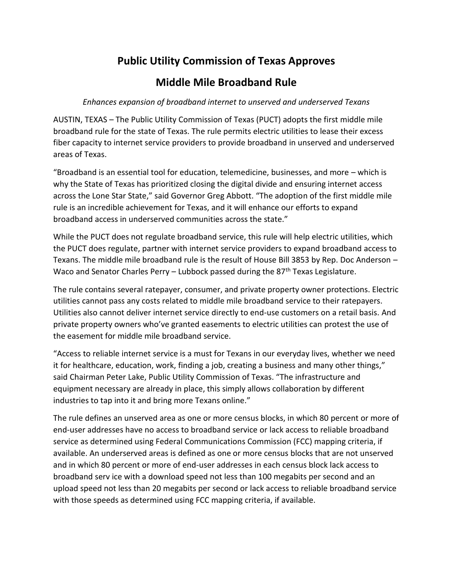## **Public Utility Commission of Texas Approves**

## **Middle Mile Broadband Rule**

## *Enhances expansion of broadband internet to unserved and underserved Texans*

AUSTIN, TEXAS – The Public Utility Commission of Texas (PUCT) adopts the first middle mile broadband rule for the state of Texas. The rule permits electric utilities to lease their excess fiber capacity to internet service providers to provide broadband in unserved and underserved areas of Texas.

"Broadband is an essential tool for education, telemedicine, businesses, and more – which is why the State of Texas has prioritized closing the digital divide and ensuring internet access across the Lone Star State," said Governor Greg Abbott. "The adoption of the first middle mile rule is an incredible achievement for Texas, and it will enhance our efforts to expand broadband access in underserved communities across the state."

While the PUCT does not regulate broadband service, this rule will help electric utilities, which the PUCT does regulate, partner with internet service providers to expand broadband access to Texans. The middle mile broadband rule is the result of House Bill 3853 by Rep. Doc Anderson – Waco and Senator Charles Perry - Lubbock passed during the 87<sup>th</sup> Texas Legislature.

The rule contains several ratepayer, consumer, and private property owner protections. Electric utilities cannot pass any costs related to middle mile broadband service to their ratepayers. Utilities also cannot deliver internet service directly to end-use customers on a retail basis. And private property owners who've granted easements to electric utilities can protest the use of the easement for middle mile broadband service.

"Access to reliable internet service is a must for Texans in our everyday lives, whether we need it for healthcare, education, work, finding a job, creating a business and many other things," said Chairman Peter Lake, Public Utility Commission of Texas. "The infrastructure and equipment necessary are already in place, this simply allows collaboration by different industries to tap into it and bring more Texans online."

The rule defines an unserved area as one or more census blocks, in which 80 percent or more of end-user addresses have no access to broadband service or lack access to reliable broadband service as determined using Federal Communications Commission (FCC) mapping criteria, if available. An underserved areas is defined as one or more census blocks that are not unserved and in which 80 percent or more of end-user addresses in each census block lack access to broadband serv ice with a download speed not less than 100 megabits per second and an upload speed not less than 20 megabits per second or lack access to reliable broadband service with those speeds as determined using FCC mapping criteria, if available.